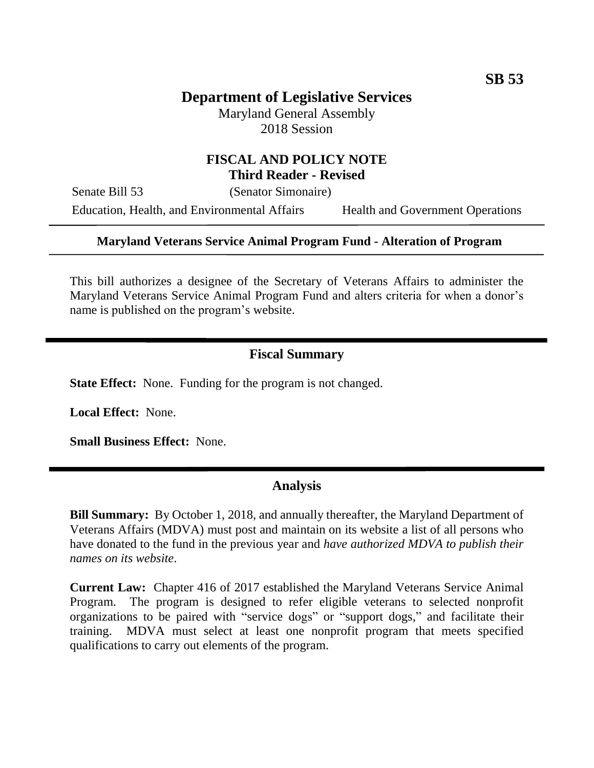# **Department of Legislative Services**

Maryland General Assembly 2018 Session

### **FISCAL AND POLICY NOTE Third Reader - Revised**

Senate Bill 53 (Senator Simonaire)

Education, Health, and Environmental Affairs Health and Government Operations

### **Maryland Veterans Service Animal Program Fund - Alteration of Program**

This bill authorizes a designee of the Secretary of Veterans Affairs to administer the Maryland Veterans Service Animal Program Fund and alters criteria for when a donor's name is published on the program's website.

## **Fiscal Summary**

**State Effect:** None. Funding for the program is not changed.

**Local Effect:** None.

**Small Business Effect:** None.

#### **Analysis**

**Bill Summary:** By October 1, 2018, and annually thereafter, the Maryland Department of Veterans Affairs (MDVA) must post and maintain on its website a list of all persons who have donated to the fund in the previous year and *have authorized MDVA to publish their names on its website*.

**Current Law:** Chapter 416 of 2017 established the Maryland Veterans Service Animal Program. The program is designed to refer eligible veterans to selected nonprofit organizations to be paired with "service dogs" or "support dogs," and facilitate their training. MDVA must select at least one nonprofit program that meets specified qualifications to carry out elements of the program.